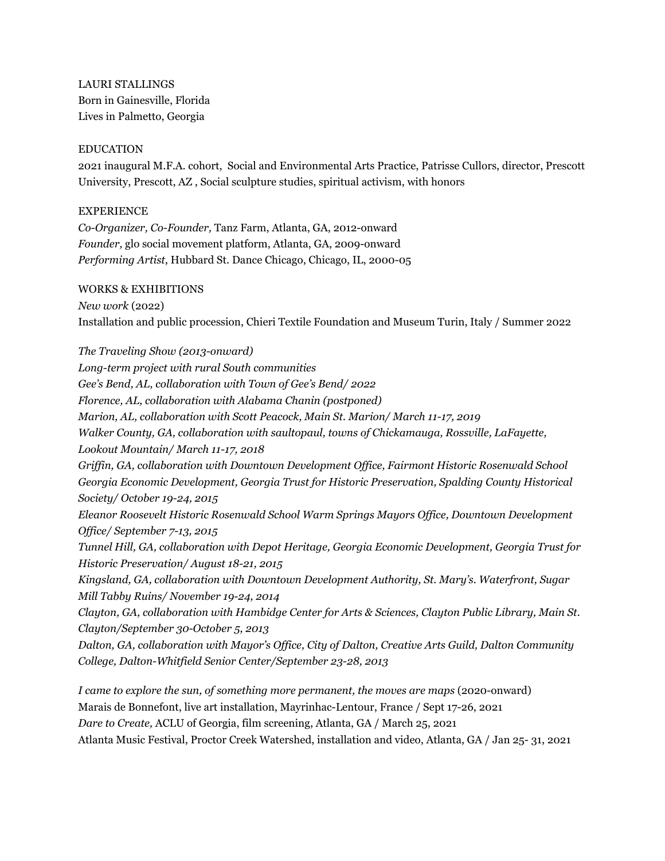LAURI STALLINGS Born in Gainesville, Florida Lives in Palmetto, Georgia

#### EDUCATION

2021 inaugural M.F.A. cohort, Social and Environmental Arts Practice, Patrisse Cullors, director, Prescott University, Prescott, AZ , Social sculpture studies, spiritual activism, with honors

### EXPERIENCE

*Co-Organizer, Co-Founder,* Tanz Farm, Atlanta, GA, 2012-onward *Founder,* glo social movement platform, Atlanta, GA, 2009-onward *Performing Artist*, Hubbard St. Dance Chicago, Chicago, IL, 2000-05

#### WORKS & EXHIBITIONS

*New work* (2022) Installation and public procession, Chieri Textile Foundation and Museum Turin, Italy / Summer 2022

*The Traveling Show (2013-onward) Long-term project with rural South communities Gee's Bend, AL, collaboration with Town of Gee's Bend/ 2022 Florence, AL, collaboration with Alabama Chanin (postponed) Marion, AL, collaboration with Scott Peacock, Main St. Marion/ March 11-17, 2019 Walker County, GA, collaboration with saultopaul, towns of Chickamauga, Rossville, LaFayette, Lookout Mountain/ March 11-17, 2018 Griffin, GA, collaboration with Downtown Development Office, Fairmont Historic Rosenwald School Georgia Economic Development, Georgia Trust for Historic Preservation, Spalding County Historical Society/ October 19-24, 2015 Eleanor Roosevelt Historic Rosenwald School Warm Springs Mayors Office, Downtown Development Office/ September 7-13, 2015 Tunnel Hill, GA, collaboration with Depot Heritage, Georgia Economic Development, Georgia Trust for Historic Preservation/ August 18-21, 2015 Kingsland, GA, collaboration with Downtown Development Authority, St. Mary's. Waterfront, Sugar Mill Tabby Ruins/ November 19-24, 2014 Clayton, GA, collaboration with Hambidge Center for Arts & Sciences, Clayton Public Library, Main St. Clayton/September 30-October 5, 2013 Dalton, GA, collaboration with Mayor's Office, City of Dalton, Creative Arts Guild, Dalton Community College, Dalton-Whitfield Senior Center/September 23-28, 2013 I came to explore the sun, of something more permanent, the moves are maps (2020-onward)* 

Marais de Bonnefont, live art installation, Mayrinhac-Lentour, France / Sept 17-26, 2021 *Dare to Create,* ACLU of Georgia, film screening, Atlanta, GA / March 25, 2021 Atlanta Music Festival, Proctor Creek Watershed, installation and video, Atlanta, GA / Jan 25- 31, 2021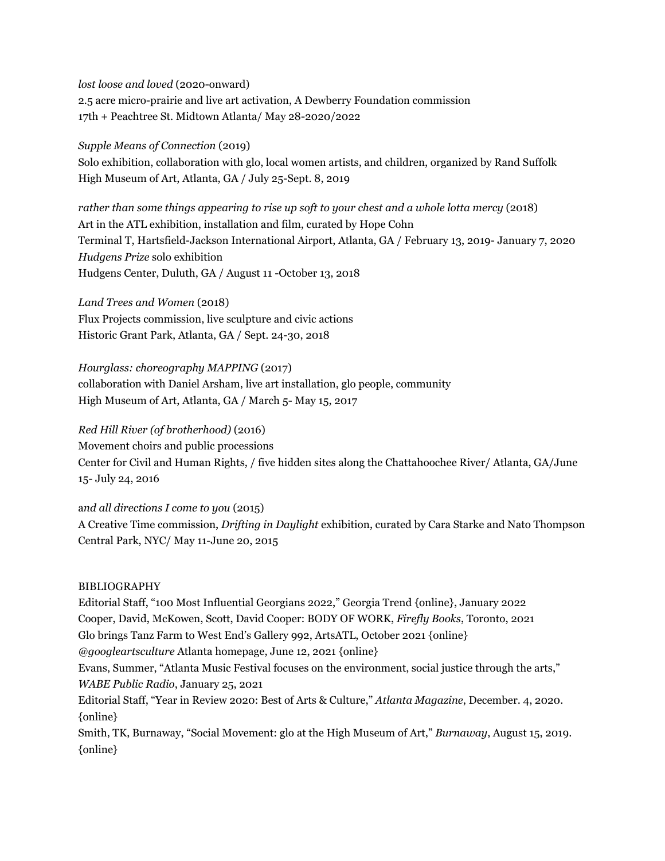*lost loose and loved* (2020-onward) 2.5 acre micro-prairie and live art activation, A Dewberry Foundation commission 17th + Peachtree St. Midtown Atlanta/ May 28-2020/2022

*Supple Means of Connection* (2019) Solo exhibition, collaboration with glo, local women artists, and children, organized by Rand Suffolk High Museum of Art, Atlanta, GA / July 25-Sept. 8, 2019

*rather than some things appearing to rise up soft to your chest and a whole lotta mercy* (2018) Art in the ATL exhibition, installation and film, curated by Hope Cohn Terminal T, Hartsfield-Jackson International Airport, Atlanta, GA / February 13, 2019- January 7, 2020 *Hudgens Prize* solo exhibition Hudgens Center, Duluth, GA / August 11 -October 13, 2018

*Land Trees and Women* (2018) Flux Projects commission, live sculpture and civic actions Historic Grant Park, Atlanta, GA / Sept. 24-30, 2018

*Hourglass: choreography MAPPING* (2017) collaboration with Daniel Arsham, live art installation, glo people, community High Museum of Art, Atlanta, GA / March 5- May 15, 2017

*Red Hill River (of brotherhood)* (2016) Movement choirs and public processions Center for Civil and Human Rights, / five hidden sites along the Chattahoochee River/ Atlanta, GA/June 15- July 24, 2016

a*nd all directions I come to you* (2015) A Creative Time commission, *Drifting in Daylight* exhibition, curated by Cara Starke and Nato Thompson Central Park, NYC/ May 11-June 20, 2015

#### BIBLIOGRAPHY

Editorial Staff, "100 Most Influential Georgians 2022," Georgia Trend {online}, January 2022 Cooper, David, McKowen, Scott, David Cooper: BODY OF WORK, *Firefly Books*, Toronto, 2021 Glo brings Tanz Farm to West End's Gallery 992, ArtsATL, October 2021 {online} *@googleartsculture* Atlanta homepage, June 12, 2021 {online} Evans, Summer, "Atlanta Music Festival focuses on the environment, social justice through the arts," *WABE Public Radio*, January 25, 2021 Editorial Staff, "Year in Review 2020: Best of Arts & Culture," *Atlanta Magazine*, December. 4, 2020. {online} Smith, TK, Burnaway, "Social Movement: glo at the High Museum of Art," *Burnaway*, August 15, 2019. {online}